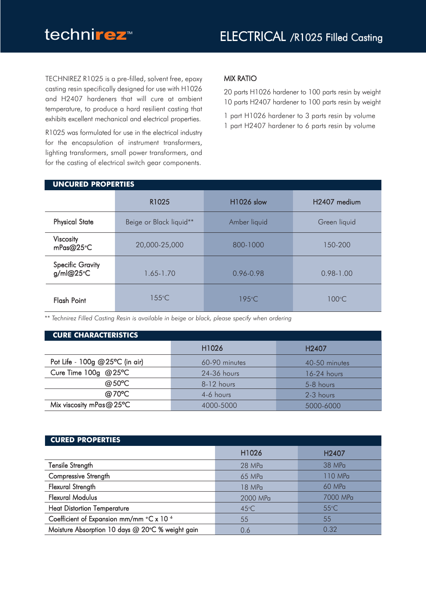TECHNIREZ R1025 is a pre-filled, solvent free, epoxy casting resin specifically designed for use with H1026 and H2407 hardeners that will cure at ambient temperature, to produce a hard resilient casting that exhibits excellent mechanical and electrical properties.

R1025 was formulated for use in the electrical industry for the encapsulation of instrument transformers, lighting transformers, small power transformers, and for the casting of electrical switch gear components.

# MIX RATIO

20 parts H1026 hardener to 100 parts resin by weight 10 parts H2407 hardener to 100 parts resin by weight

1 part H1026 hardener to 3 parts resin by volume 1 part H2407 hardener to 6 parts resin by volume

| <b>UNCURED PROPERTIES</b>            |                         |                   |                          |  |  |
|--------------------------------------|-------------------------|-------------------|--------------------------|--|--|
|                                      | R1025                   | <b>H1026 slow</b> | H <sub>2407</sub> medium |  |  |
| <b>Physical State</b>                | Beige or Black liquid** | Amber liquid      | Green liquid             |  |  |
| <b>Viscosity</b><br>mPas@25°C        | 20,000-25,000           | 800-1000          | 150-200                  |  |  |
| <b>Specific Gravity</b><br>g/ml@25°C | $1.65 - 1.70$           | 0.96-0.98         | $0.98 - 1.00$            |  |  |
| <b>Flash Point</b>                   | $155^{\circ}$ C         | $195^{\circ}$ C   | $100^{\circ}$ C          |  |  |

*\*\* Technirez Filled Casting Resin is available in beige or black, please specify when ordering*

| <b>CURE CHARACTERISTICS</b> |                    |  |  |  |  |  |
|-----------------------------|--------------------|--|--|--|--|--|
| H <sub>1026</sub>           | H <sub>240</sub> 7 |  |  |  |  |  |
| 60-90 minutes               | 40-50 minutes      |  |  |  |  |  |
| 24-36 hours                 | $16-24$ hours      |  |  |  |  |  |
| 8-12 hours                  | 5-8 hours          |  |  |  |  |  |
| 4-6 hours                   | 2-3 hours          |  |  |  |  |  |
| 4000-5000                   | 5000-6000          |  |  |  |  |  |
|                             |                    |  |  |  |  |  |

#### **CURED PROPERTIES**

|                                                     | H <sub>1026</sub> | H <sub>240</sub> 7 |
|-----------------------------------------------------|-------------------|--------------------|
| Tensile Strength                                    | 28 MPa            | 38 MPa             |
| Compressive Strength                                | 65 MPa            | 110 MPa            |
| Flexural Strength                                   | 18 MPa            | 60 MPa             |
| <b>Flexural Modulus</b>                             | 2000 MPa          | 7000 MPa           |
| <b>Heat Distortion Temperature</b>                  | $45^{\circ}$ C    | $55^{\circ}$ C     |
| Coefficient of Expansion mm/mm °C x 10 <sup>6</sup> | 55                | 55                 |
| Moisture Absorption 10 days @ 20°C % weight gain    | 0.6               | 0.32               |